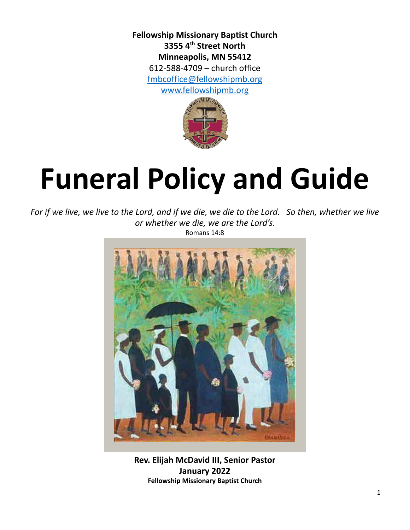**Fellowship Missionary Baptist Church 3355 4 th Street North Minneapolis, MN 55412** 612-588-4709 – church office [fmbcoffice@fellowshipmb.org](mailto:fmbcoffice@fellowshipmb.org) [www.fellowshipmb.org](http://www.fellowshipmb.org)



# **Funeral Policy and Guide**

For if we live, we live to the Lord, and if we die, we die to the Lord. So then, whether we live *or whether we die, we are the Lord's.*

Romans 14:8



**Rev. Elijah McDavid III, Senior Pastor January 2022 Fellowship Missionary Baptist Church**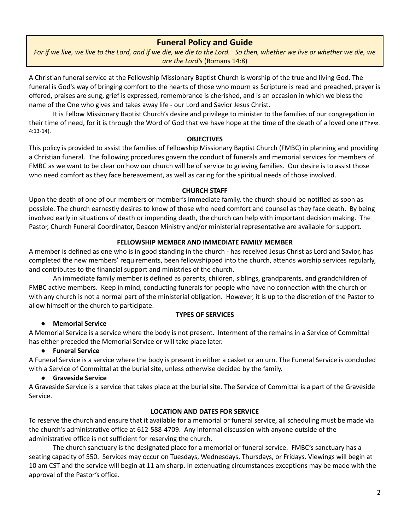## **Funeral Policy and Guide**

For if we live, we live to the Lord, and if we die, we die to the Lord. So then, whether we live or whether we die, we *are the Lord's* (Romans 14:8)

A Christian funeral service at the Fellowship Missionary Baptist Church is worship of the true and living God. The funeral is God's way of bringing comfort to the hearts of those who mourn as Scripture is read and preached, prayer is offered, praises are sung, grief is expressed, remembrance is cherished, and is an occasion in which we bless the name of the One who gives and takes away life - our Lord and Savior Jesus Christ.

It is Fellow Missionary Baptist Church's desire and privilege to minister to the families of our congregation in their time of need, for it is through the Word of God that we have hope at the time of the death of a loved one (I Thess. 4:13-14).

#### **OBJECTIVES**

This policy is provided to assist the families of Fellowship Missionary Baptist Church (FMBC) in planning and providing a Christian funeral. The following procedures govern the conduct of funerals and memorial services for members of FMBC as we want to be clear on how our church will be of service to grieving families. Our desire is to assist those who need comfort as they face bereavement, as well as caring for the spiritual needs of those involved.

#### **CHURCH STAFF**

Upon the death of one of our members or member's immediate family, the church should be notified as soon as possible. The church earnestly desires to know of those who need comfort and counsel as they face death. By being involved early in situations of death or impending death, the church can help with important decision making. The Pastor, Church Funeral Coordinator, Deacon Ministry and/or ministerial representative are available for support.

#### **FELLOWSHIP MEMBER AND IMMEDIATE FAMILY MEMBER**

A member is defined as one who is in good standing in the church - has received Jesus Christ as Lord and Savior, has completed the new members' requirements, been fellowshipped into the church, attends worship services regularly, and contributes to the financial support and ministries of the church.

An immediate family member is defined as parents, children, siblings, grandparents, and grandchildren of FMBC active members. Keep in mind, conducting funerals for people who have no connection with the church or with any church is not a normal part of the ministerial obligation. However, it is up to the discretion of the Pastor to allow himself or the church to participate.

#### **TYPES OF SERVICES**

#### **● Memorial Service**

A Memorial Service is a service where the body is not present. Interment of the remains in a Service of Committal has either preceded the Memorial Service or will take place later.

#### **● Funeral Service**

A Funeral Service is a service where the body is present in either a casket or an urn. The Funeral Service is concluded with a Service of Committal at the burial site, unless otherwise decided by the family.

#### **● Graveside Service**

A Graveside Service is a service that takes place at the burial site. The Service of Committal is a part of the Graveside Service.

#### **LOCATION AND DATES FOR SERVICE**

To reserve the church and ensure that it available for a memorial or funeral service, all scheduling must be made via the church's administrative office at 612-588-4709. Any informal discussion with anyone outside of the administrative office is not sufficient for reserving the church.

The church sanctuary is the designated place for a memorial or funeral service. FMBC's sanctuary has a seating capacity of 550. Services may occur on Tuesdays, Wednesdays, Thursdays, or Fridays. Viewings will begin at 10 am CST and the service will begin at 11 am sharp. In extenuating circumstances exceptions may be made with the approval of the Pastor's office.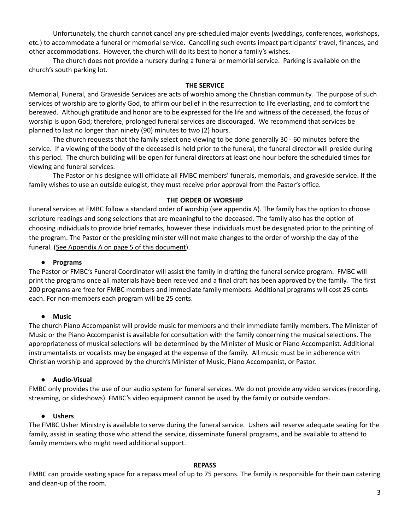Unfortunately, the church cannot cancel any pre-scheduled major events (weddings, conferences, workshops, etc.) to accommodate a funeral or memorial service. Cancelling such events impact participants' travel, finances, and other accommodations. However, the church will do its best to honor a family's wishes.

The church does not provide a nursery during a funeral or memorial service. Parking is available on the church's south parking lot.

#### **THE SERVICE**

Memorial, Funeral, and Graveside Services are acts of worship among the Christian community. The purpose of such services of worship are to glorify God, to affirm our belief in the resurrection to life everlasting, and to comfort the bereaved. Although gratitude and honor are to be expressed for the life and witness of the deceased, the focus of worship is upon God; therefore, prolonged funeral services are discouraged. We recommend that services be planned to last no longer than ninety (90) minutes to two (2) hours.

The church requests that the family select one viewing to be done generally 30 - 60 minutes before the service. If a viewing of the body of the deceased is held prior to the funeral, the funeral director will preside during this period. The church building will be open for funeral directors at least one hour before the scheduled times for viewing and funeral services.

The Pastor or his designee will officiate all FMBC members' funerals, memorials, and graveside service. If the family wishes to use an outside eulogist, they must receive prior approval from the Pastor's office.

#### **THE ORDER OF WORSHIP**

Funeral services at FMBC follow a standard order of worship (see appendix A). The family has the option to choose scripture readings and song selections that are meaningful to the deceased. The family also has the option of choosing individuals to provide brief remarks, however these individuals must be designated prior to the printing of the program. The Pastor or the presiding minister will not make changes to the order of worship the day of the funeral. (See Appendix A on page 5 of this document).

#### **● Programs**

The Pastor or FMBC's Funeral Coordinator will assist the family in drafting the funeral service program. FMBC will print the programs once all materials have been received and a final draft has been approved by the family. The first 200 programs are free for FMBC members and immediate family members. Additional programs will cost 25 cents each. For non-members each program will be 25 cents.

#### **● Music**

The church Piano Accompanist will provide music for members and their immediate family members. The Minister of Music or the Piano Accompanist is available for consultation with the family concerning the musical selections. The appropriateness of musical selections will be determined by the Minister of Music or Piano Accompanist. Additional instrumentalists or vocalists may be engaged at the expense of the family. All music must be in adherence with Christian worship and approved by the church's Minister of Music, Piano Accompanist, or Pastor.

#### **● Audio-Visual**

FMBC only provides the use of our audio system for funeral services. We do not provide any video services (recording, streaming, or slideshows). FMBC's video equipment cannot be used by the family or outside vendors.

#### **● Ushers**

The FMBC Usher Ministry is available to serve during the funeral service. Ushers will reserve adequate seating for the family, assist in seating those who attend the service, disseminate funeral programs, and be available to attend to family members who might need additional support.

#### **REPASS**

FMBC can provide seating space for a repass meal of up to 75 persons. The family is responsible for their own catering and clean-up of the room.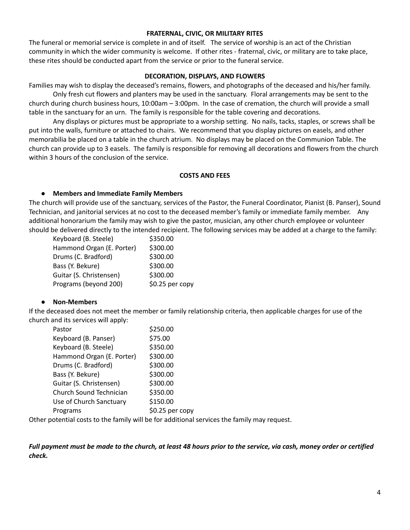#### **FRATERNAL, CIVIC, OR MILITARY RITES**

The funeral or memorial service is complete in and of itself. The service of worship is an act of the Christian community in which the wider community is welcome. If other rites - fraternal, civic, or military are to take place, these rites should be conducted apart from the service or prior to the funeral service.

#### **DECORATION, DISPLAYS, AND FLOWERS**

Families may wish to display the deceased's remains, flowers, and photographs of the deceased and his/her family.

Only fresh cut flowers and planters may be used in the sanctuary. Floral arrangements may be sent to the church during church business hours, 10:00am – 3:00pm. In the case of cremation, the church will provide a small table in the sanctuary for an urn. The family is responsible for the table covering and decorations.

Any displays or pictures must be appropriate to a worship setting. No nails, tacks, staples, or screws shall be put into the walls, furniture or attached to chairs. We recommend that you display pictures on easels, and other memorabilia be placed on a table in the church atrium. No displays may be placed on the Communion Table. The church can provide up to 3 easels. The family is responsible for removing all decorations and flowers from the church within 3 hours of the conclusion of the service.

#### **COSTS AND FEES**

#### **● Members and Immediate Family Members**

The church will provide use of the sanctuary, services of the Pastor, the Funeral Coordinator, Pianist (B. Panser), Sound Technician, and janitorial services at no cost to the deceased member's family or immediate family member. Any additional honorarium the family may wish to give the pastor, musician, any other church employee or volunteer should be delivered directly to the intended recipient. The following services may be added at a charge to the family:

| Keyboard (B. Steele)      | \$350.00        |
|---------------------------|-----------------|
| Hammond Organ (E. Porter) | \$300.00        |
| Drums (C. Bradford)       | \$300.00        |
| Bass (Y. Bekure)          | \$300.00        |
| Guitar (S. Christensen)   | \$300.00        |
| Programs (beyond 200)     | \$0.25 per copy |

#### **● Non-Members**

If the deceased does not meet the member or family relationship criteria, then applicable charges for use of the church and its services will apply:

| Pastor                    | \$250.00        |
|---------------------------|-----------------|
| Keyboard (B. Panser)      | \$75.00         |
| Keyboard (B. Steele)      | \$350.00        |
| Hammond Organ (E. Porter) | \$300.00        |
| Drums (C. Bradford)       | \$300.00        |
| Bass (Y. Bekure)          | \$300.00        |
| Guitar (S. Christensen)   | \$300.00        |
| Church Sound Technician   | \$350.00        |
| Use of Church Sanctuary   | \$150.00        |
| Programs                  | \$0.25 per copy |

Other potential costs to the family will be for additional services the family may request.

Full payment must be made to the church, at least 48 hours prior to the service, via cash, money order or certified *check.*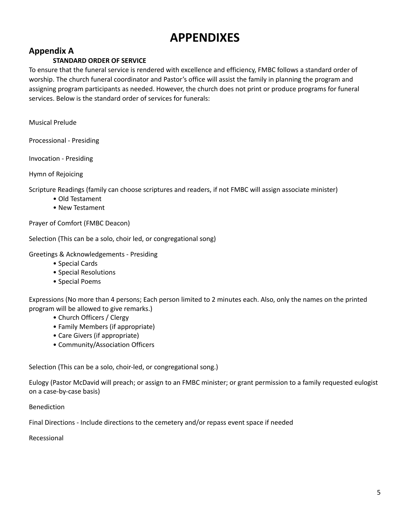## **APPENDIXES**

## **Appendix A**

## **STANDARD ORDER OF SERVICE**

To ensure that the funeral service is rendered with excellence and efficiency, FMBC follows a standard order of worship. The church funeral coordinator and Pastor's office will assist the family in planning the program and assigning program participants as needed. However, the church does not print or produce programs for funeral services. Below is the standard order of services for funerals:

Musical Prelude

Processional - Presiding

Invocation - Presiding

Hymn of Rejoicing

Scripture Readings (family can choose scriptures and readers, if not FMBC will assign associate minister)

- Old Testament
- New Testament

Prayer of Comfort (FMBC Deacon)

Selection (This can be a solo, choir led, or congregational song)

Greetings & Acknowledgements - Presiding

• Special Cards

• Special Resolutions

• Special Poems

Expressions (No more than 4 persons; Each person limited to 2 minutes each. Also, only the names on the printed program will be allowed to give remarks.)

- Church Officers / Clergy
- Family Members (if appropriate)
- Care Givers (if appropriate)
- Community/Association Officers

Selection (This can be a solo, choir-led, or congregational song.)

Eulogy (Pastor McDavid will preach; or assign to an FMBC minister; or grant permission to a family requested eulogist on a case-by-case basis)

Benediction

Final Directions - Include directions to the cemetery and/or repass event space if needed

Recessional